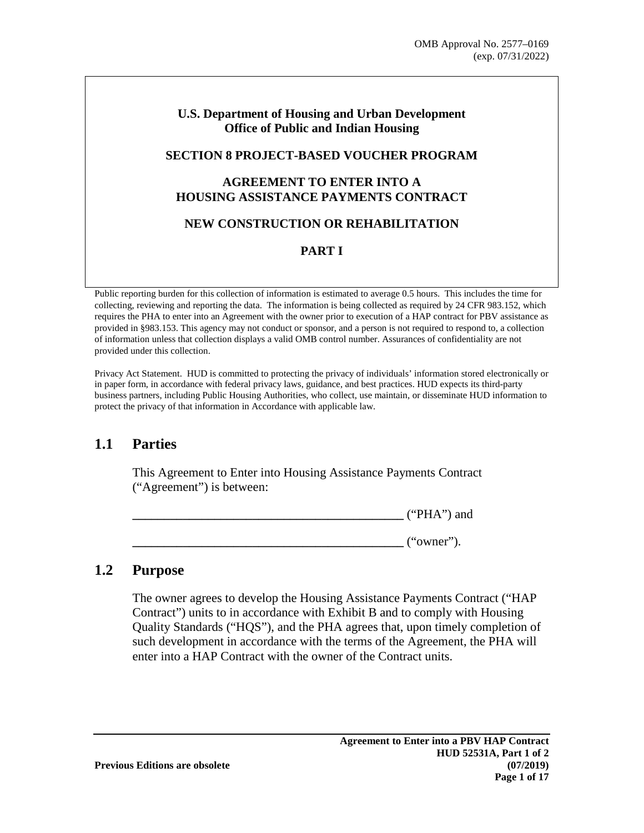#### **U.S. Department of Housing and Urban Development Office of Public and Indian Housing**

#### **SECTION 8 PROJECT-BASED VOUCHER PROGRAM**

#### **AGREEMENT TO ENTER INTO A HOUSING ASSISTANCE PAYMENTS CONTRACT**

#### **NEW CONSTRUCTION OR REHABILITATION**

#### **PART I**

Public reporting burden for this collection of information is estimated to average 0.5 hours. This includes the time for collecting, reviewing and reporting the data. The information is being collected as required by 24 CFR 983.152, which requires the PHA to enter into an Agreement with the owner prior to execution of a HAP contract for PBV assistance as provided in §983.153. This agency may not conduct or sponsor, and a person is not required to respond to, a collection of information unless that collection displays a valid OMB control number. Assurances of confidentiality are not provided under this collection.

Privacy Act Statement. HUD is committed to protecting the privacy of individuals' information stored electronically or in paper form, in accordance with federal privacy laws, guidance, and best practices. HUD expects its third-party business partners, including Public Housing Authorities, who collect, use maintain, or disseminate HUD information to protect the privacy of that information in Accordance with applicable law.

### **1.1 Parties**

This Agreement to Enter into Housing Assistance Payments Contract ("Agreement") is between:

|  | $($ HI A $"$<br>$\overline{ }$<br>・宀<br>1 1 1 1 1 | and |
|--|---------------------------------------------------|-----|
|--|---------------------------------------------------|-----|

**\_\_\_\_\_\_\_\_\_\_\_\_\_\_\_\_\_\_\_\_\_\_\_\_\_\_\_\_\_\_\_\_\_\_\_\_\_\_\_\_\_\_\_** ("owner").

#### **1.2 Purpose**

The owner agrees to develop the Housing Assistance Payments Contract ("HAP Contract") units to in accordance with Exhibit B and to comply with Housing Quality Standards ("HQS"), and the PHA agrees that, upon timely completion of such development in accordance with the terms of the Agreement, the PHA will enter into a HAP Contract with the owner of the Contract units.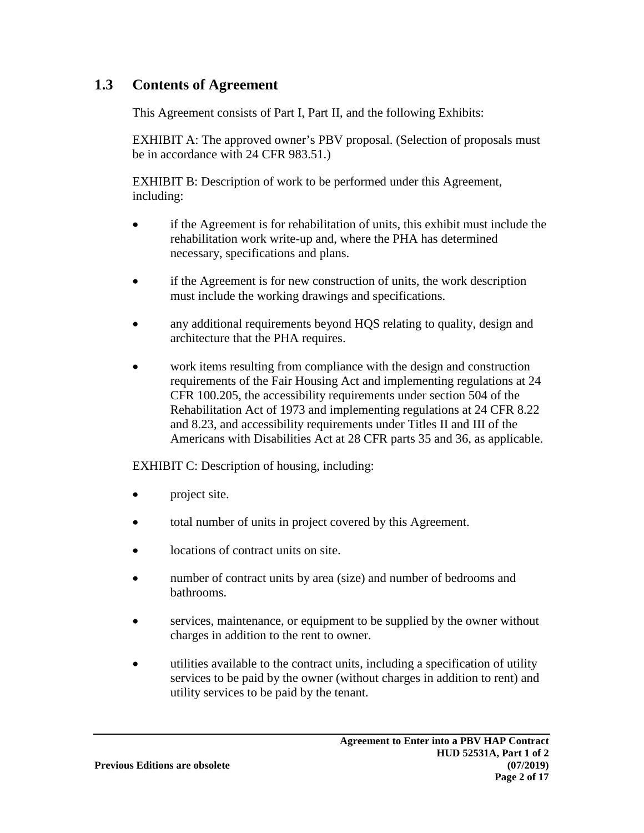### **1.3 Contents of Agreement**

This Agreement consists of Part I, Part II, and the following Exhibits:

EXHIBIT A: The approved owner's PBV proposal. (Selection of proposals must be in accordance with 24 CFR 983.51.)

EXHIBIT B: Description of work to be performed under this Agreement, including:

- if the Agreement is for rehabilitation of units, this exhibit must include the rehabilitation work write-up and, where the PHA has determined necessary, specifications and plans.
- if the Agreement is for new construction of units, the work description must include the working drawings and specifications.
- any additional requirements beyond HQS relating to quality, design and architecture that the PHA requires.
- work items resulting from compliance with the design and construction requirements of the Fair Housing Act and implementing regulations at 24 CFR 100.205, the accessibility requirements under section 504 of the Rehabilitation Act of 1973 and implementing regulations at 24 CFR 8.22 and 8.23, and accessibility requirements under Titles II and III of the Americans with Disabilities Act at 28 CFR parts 35 and 36, as applicable.

EXHIBIT C: Description of housing, including:

- project site.
- total number of units in project covered by this Agreement.
- locations of contract units on site.
- number of contract units by area (size) and number of bedrooms and bathrooms.
- services, maintenance, or equipment to be supplied by the owner without charges in addition to the rent to owner.
- utilities available to the contract units, including a specification of utility services to be paid by the owner (without charges in addition to rent) and utility services to be paid by the tenant.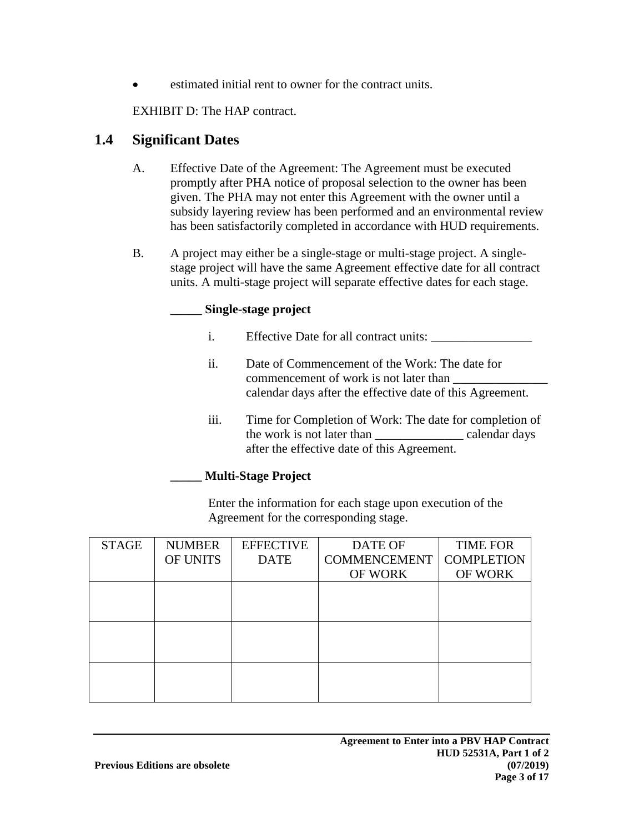estimated initial rent to owner for the contract units.

EXHIBIT D: The HAP contract.

### **1.4 Significant Dates**

- A. Effective Date of the Agreement: The Agreement must be executed promptly after PHA notice of proposal selection to the owner has been given. The PHA may not enter this Agreement with the owner until a subsidy layering review has been performed and an environmental review has been satisfactorily completed in accordance with HUD requirements.
- B. A project may either be a single-stage or multi-stage project. A singlestage project will have the same Agreement effective date for all contract units. A multi-stage project will separate effective dates for each stage.

#### **\_\_\_\_\_ Single-stage project**

- i. Effective Date for all contract units: \_\_\_\_\_\_\_\_\_\_\_\_\_\_\_\_
- ii. Date of Commencement of the Work: The date for commencement of work is not later than calendar days after the effective date of this Agreement.
- iii. Time for Completion of Work: The date for completion of the work is not later than ealendar days after the effective date of this Agreement.

#### **\_\_\_\_\_ Multi-Stage Project**

Enter the information for each stage upon execution of the Agreement for the corresponding stage.

| <b>STAGE</b> | <b>NUMBER</b> | <b>EFFECTIVE</b> | DATE OF             | <b>TIME FOR</b>   |
|--------------|---------------|------------------|---------------------|-------------------|
|              | OF UNITS      | <b>DATE</b>      | <b>COMMENCEMENT</b> | <b>COMPLETION</b> |
|              |               |                  | <b>OF WORK</b>      | <b>OF WORK</b>    |
|              |               |                  |                     |                   |
|              |               |                  |                     |                   |
|              |               |                  |                     |                   |
|              |               |                  |                     |                   |
|              |               |                  |                     |                   |
|              |               |                  |                     |                   |
|              |               |                  |                     |                   |
|              |               |                  |                     |                   |
|              |               |                  |                     |                   |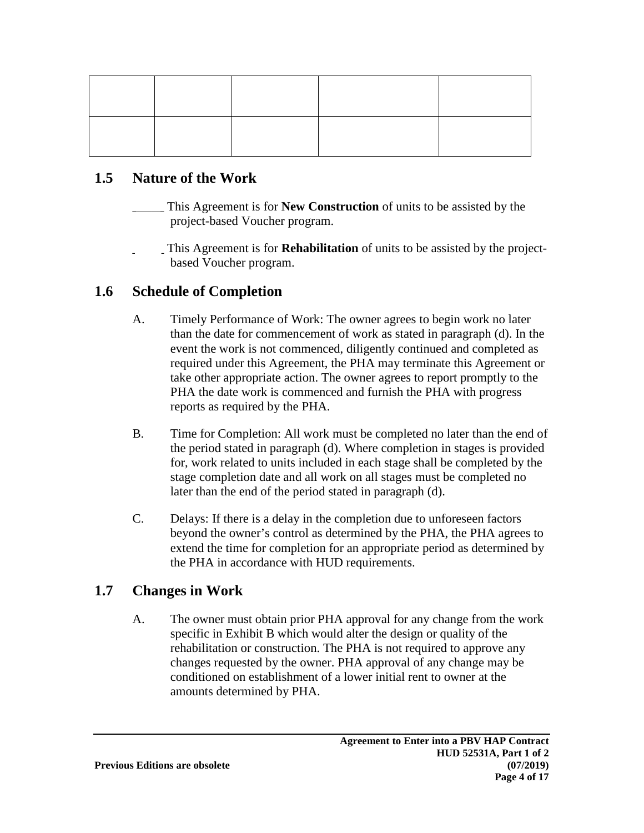#### **1.5 Nature of the Work**

- This Agreement is for **New Construction** of units to be assisted by the project-based Voucher program.
- \_\_\_\_\_ This Agreement is for **Rehabilitation** of units to be assisted by the projectbased Voucher program.

### **1.6 Schedule of Completion**

- A. Timely Performance of Work: The owner agrees to begin work no later than the date for commencement of work as stated in paragraph (d). In the event the work is not commenced, diligently continued and completed as required under this Agreement, the PHA may terminate this Agreement or take other appropriate action. The owner agrees to report promptly to the PHA the date work is commenced and furnish the PHA with progress reports as required by the PHA.
- B. Time for Completion: All work must be completed no later than the end of the period stated in paragraph (d). Where completion in stages is provided for, work related to units included in each stage shall be completed by the stage completion date and all work on all stages must be completed no later than the end of the period stated in paragraph (d).
- C. Delays: If there is a delay in the completion due to unforeseen factors beyond the owner's control as determined by the PHA, the PHA agrees to extend the time for completion for an appropriate period as determined by the PHA in accordance with HUD requirements.

### **1.7 Changes in Work**

A. The owner must obtain prior PHA approval for any change from the work specific in Exhibit B which would alter the design or quality of the rehabilitation or construction. The PHA is not required to approve any changes requested by the owner. PHA approval of any change may be conditioned on establishment of a lower initial rent to owner at the amounts determined by PHA.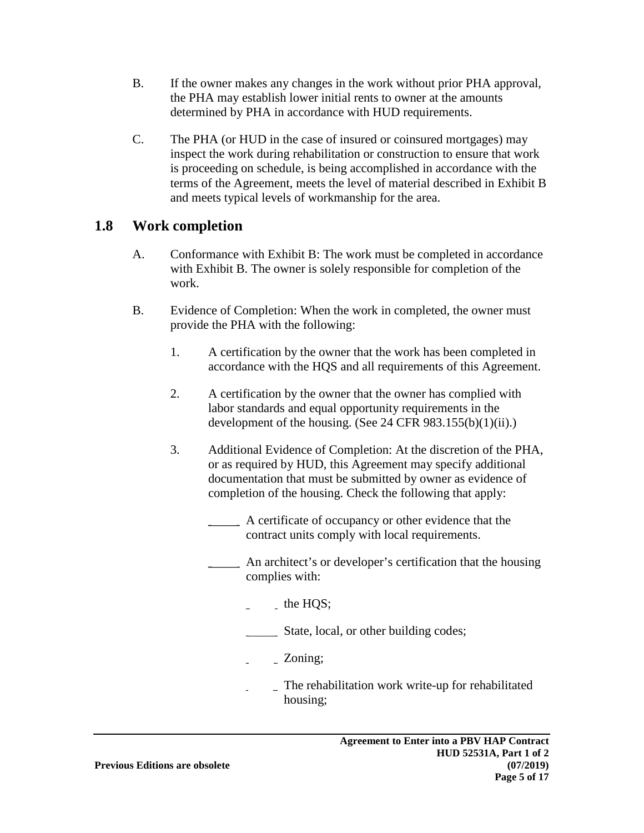- B. If the owner makes any changes in the work without prior PHA approval, the PHA may establish lower initial rents to owner at the amounts determined by PHA in accordance with HUD requirements.
- C. The PHA (or HUD in the case of insured or coinsured mortgages) may inspect the work during rehabilitation or construction to ensure that work is proceeding on schedule, is being accomplished in accordance with the terms of the Agreement, meets the level of material described in Exhibit B and meets typical levels of workmanship for the area.

### **1.8 Work completion**

- A. Conformance with Exhibit B: The work must be completed in accordance with Exhibit B. The owner is solely responsible for completion of the work.
- B. Evidence of Completion: When the work in completed, the owner must provide the PHA with the following:
	- 1. A certification by the owner that the work has been completed in accordance with the HQS and all requirements of this Agreement.
	- 2. A certification by the owner that the owner has complied with labor standards and equal opportunity requirements in the development of the housing. (See 24 CFR  $983.155(b)(1)(ii)$ .)
	- 3. Additional Evidence of Completion: At the discretion of the PHA, or as required by HUD, this Agreement may specify additional documentation that must be submitted by owner as evidence of completion of the housing. Check the following that apply:
		- **\_\_\_\_\_** A certificate of occupancy or other evidence that the contract units comply with local requirements.
		- **\_\_\_\_\_** An architect's or developer's certification that the housing complies with:
			- $\_$  the HQS;
			- State, local, or other building codes;
			- \_\_\_\_\_ Zoning;
			- The rehabilitation work write-up for rehabilitated housing;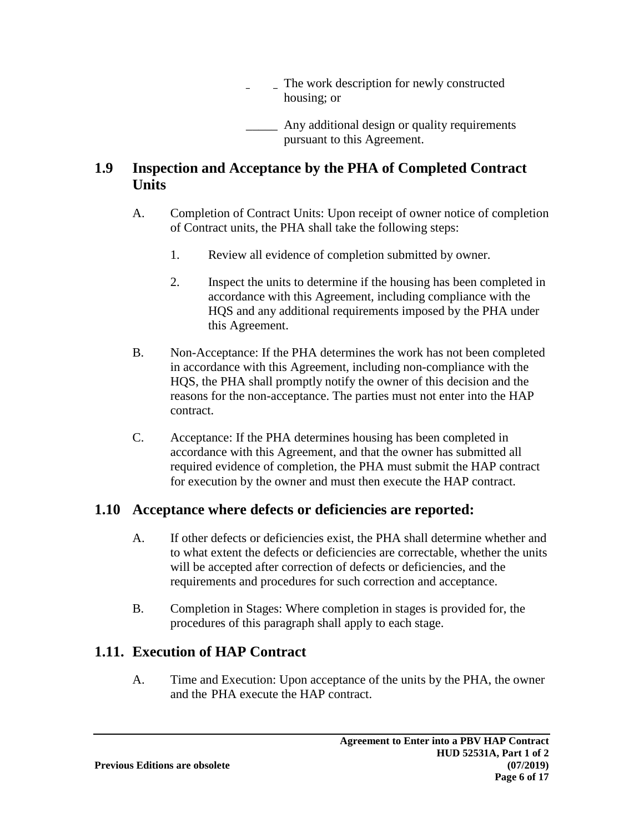\_\_\_\_\_ The work description for newly constructed housing; or

Any additional design or quality requirements pursuant to this Agreement.

### **1.9 Inspection and Acceptance by the PHA of Completed Contract Units**

- A. Completion of Contract Units: Upon receipt of owner notice of completion of Contract units, the PHA shall take the following steps:
	- 1. Review all evidence of completion submitted by owner.
	- 2. Inspect the units to determine if the housing has been completed in accordance with this Agreement, including compliance with the HQS and any additional requirements imposed by the PHA under this Agreement.
- B. Non-Acceptance: If the PHA determines the work has not been completed in accordance with this Agreement, including non-compliance with the HQS, the PHA shall promptly notify the owner of this decision and the reasons for the non-acceptance. The parties must not enter into the HAP contract.
- C. Acceptance: If the PHA determines housing has been completed in accordance with this Agreement, and that the owner has submitted all required evidence of completion, the PHA must submit the HAP contract for execution by the owner and must then execute the HAP contract.

## **1.10 Acceptance where defects or deficiencies are reported:**

- A. If other defects or deficiencies exist, the PHA shall determine whether and to what extent the defects or deficiencies are correctable, whether the units will be accepted after correction of defects or deficiencies, and the requirements and procedures for such correction and acceptance.
- B. Completion in Stages: Where completion in stages is provided for, the procedures of this paragraph shall apply to each stage.

## **1.11. Execution of HAP Contract**

A. Time and Execution: Upon acceptance of the units by the PHA, the owner and the PHA execute the HAP contract.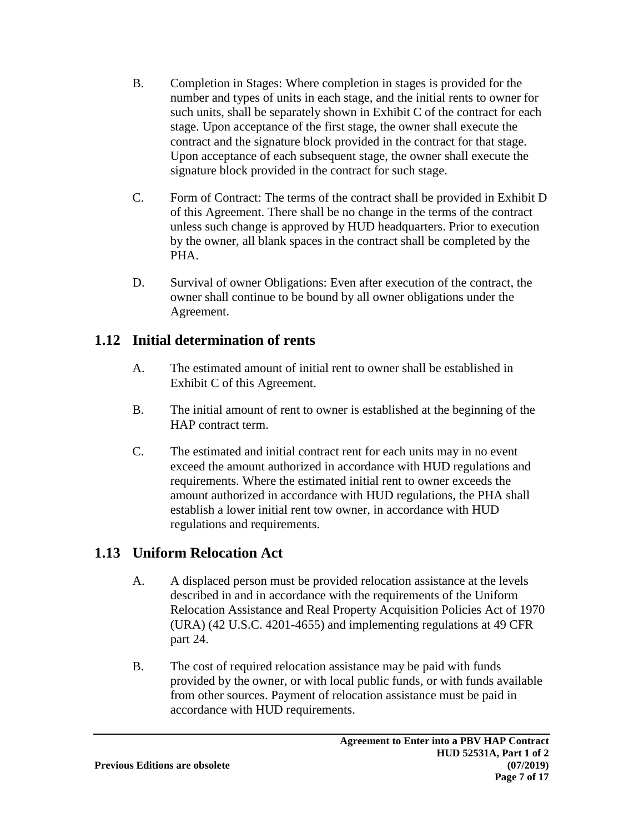- B. Completion in Stages: Where completion in stages is provided for the number and types of units in each stage, and the initial rents to owner for such units, shall be separately shown in Exhibit C of the contract for each stage. Upon acceptance of the first stage, the owner shall execute the contract and the signature block provided in the contract for that stage. Upon acceptance of each subsequent stage, the owner shall execute the signature block provided in the contract for such stage.
- C. Form of Contract: The terms of the contract shall be provided in Exhibit D of this Agreement. There shall be no change in the terms of the contract unless such change is approved by HUD headquarters. Prior to execution by the owner, all blank spaces in the contract shall be completed by the PHA.
- D. Survival of owner Obligations: Even after execution of the contract, the owner shall continue to be bound by all owner obligations under the Agreement.

## **1.12 Initial determination of rents**

- A. The estimated amount of initial rent to owner shall be established in Exhibit C of this Agreement.
- B. The initial amount of rent to owner is established at the beginning of the HAP contract term.
- C. The estimated and initial contract rent for each units may in no event exceed the amount authorized in accordance with HUD regulations and requirements. Where the estimated initial rent to owner exceeds the amount authorized in accordance with HUD regulations, the PHA shall establish a lower initial rent tow owner, in accordance with HUD regulations and requirements.

## **1.13 Uniform Relocation Act**

- A. A displaced person must be provided relocation assistance at the levels described in and in accordance with the requirements of the Uniform Relocation Assistance and Real Property Acquisition Policies Act of 1970 (URA) (42 U.S.C. 4201-4655) and implementing regulations at 49 CFR part 24.
- B. The cost of required relocation assistance may be paid with funds provided by the owner, or with local public funds, or with funds available from other sources. Payment of relocation assistance must be paid in accordance with HUD requirements.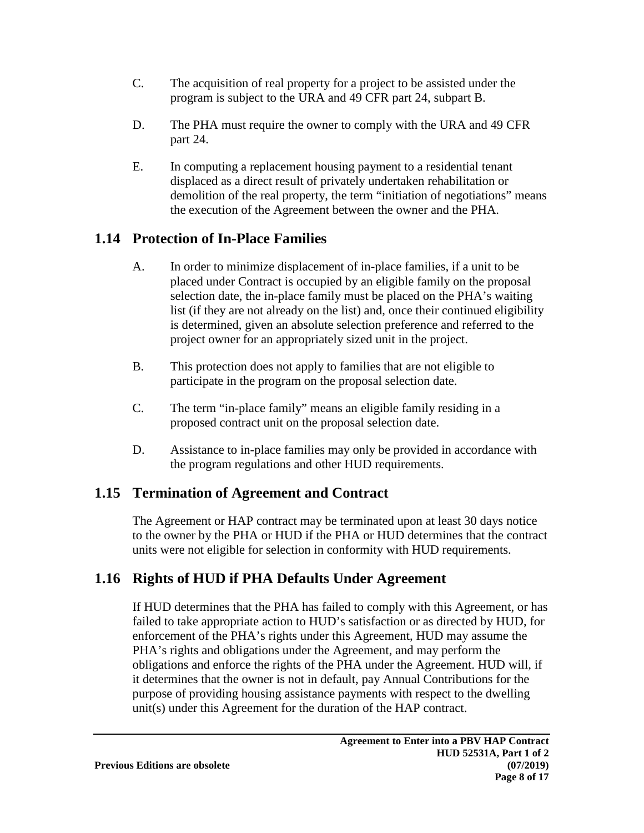- C. The acquisition of real property for a project to be assisted under the program is subject to the URA and 49 CFR part 24, subpart B.
- D. The PHA must require the owner to comply with the URA and 49 CFR part 24.
- E. In computing a replacement housing payment to a residential tenant displaced as a direct result of privately undertaken rehabilitation or demolition of the real property, the term "initiation of negotiations" means the execution of the Agreement between the owner and the PHA.

# **1.14 Protection of In-Place Families**

- A. In order to minimize displacement of in-place families, if a unit to be placed under Contract is occupied by an eligible family on the proposal selection date, the in-place family must be placed on the PHA's waiting list (if they are not already on the list) and, once their continued eligibility is determined, given an absolute selection preference and referred to the project owner for an appropriately sized unit in the project.
- B. This protection does not apply to families that are not eligible to participate in the program on the proposal selection date.
- C. The term "in-place family" means an eligible family residing in a proposed contract unit on the proposal selection date.
- D. Assistance to in-place families may only be provided in accordance with the program regulations and other HUD requirements.

# **1.15 Termination of Agreement and Contract**

The Agreement or HAP contract may be terminated upon at least 30 days notice to the owner by the PHA or HUD if the PHA or HUD determines that the contract units were not eligible for selection in conformity with HUD requirements.

# **1.16 Rights of HUD if PHA Defaults Under Agreement**

If HUD determines that the PHA has failed to comply with this Agreement, or has failed to take appropriate action to HUD's satisfaction or as directed by HUD, for enforcement of the PHA's rights under this Agreement, HUD may assume the PHA's rights and obligations under the Agreement, and may perform the obligations and enforce the rights of the PHA under the Agreement. HUD will, if it determines that the owner is not in default, pay Annual Contributions for the purpose of providing housing assistance payments with respect to the dwelling unit(s) under this Agreement for the duration of the HAP contract.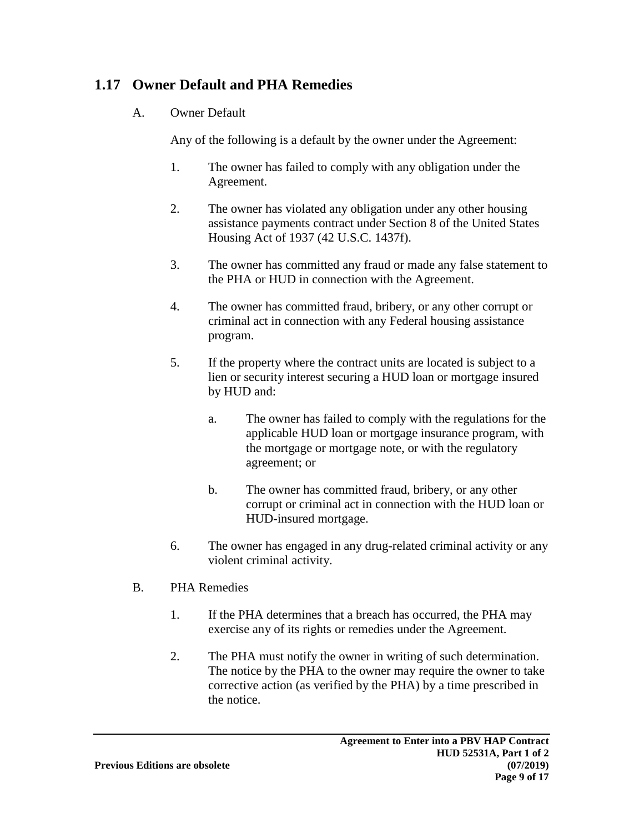## **1.17 Owner Default and PHA Remedies**

A. Owner Default

Any of the following is a default by the owner under the Agreement:

- 1. The owner has failed to comply with any obligation under the Agreement.
- 2. The owner has violated any obligation under any other housing assistance payments contract under Section 8 of the United States Housing Act of 1937 (42 U.S.C. 1437f).
- 3. The owner has committed any fraud or made any false statement to the PHA or HUD in connection with the Agreement.
- 4. The owner has committed fraud, bribery, or any other corrupt or criminal act in connection with any Federal housing assistance program.
- 5. If the property where the contract units are located is subject to a lien or security interest securing a HUD loan or mortgage insured by HUD and:
	- a. The owner has failed to comply with the regulations for the applicable HUD loan or mortgage insurance program, with the mortgage or mortgage note, or with the regulatory agreement; or
	- b. The owner has committed fraud, bribery, or any other corrupt or criminal act in connection with the HUD loan or HUD-insured mortgage.
- 6. The owner has engaged in any drug-related criminal activity or any violent criminal activity.
- B. PHA Remedies
	- 1. If the PHA determines that a breach has occurred, the PHA may exercise any of its rights or remedies under the Agreement.
	- 2. The PHA must notify the owner in writing of such determination. The notice by the PHA to the owner may require the owner to take corrective action (as verified by the PHA) by a time prescribed in the notice.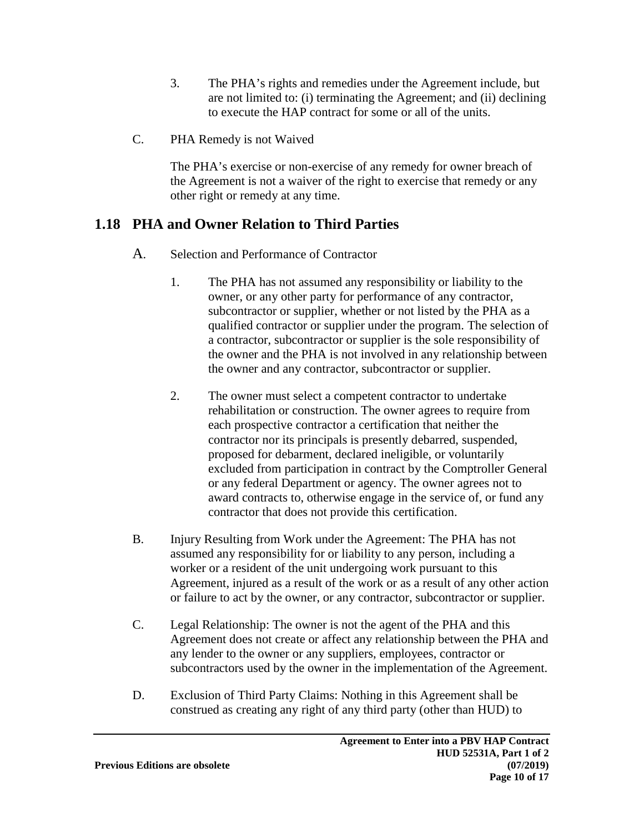- 3. The PHA's rights and remedies under the Agreement include, but are not limited to: (i) terminating the Agreement; and (ii) declining to execute the HAP contract for some or all of the units.
- C. PHA Remedy is not Waived

The PHA's exercise or non-exercise of any remedy for owner breach of the Agreement is not a waiver of the right to exercise that remedy or any other right or remedy at any time.

## **1.18 PHA and Owner Relation to Third Parties**

- A. Selection and Performance of Contractor
	- 1. The PHA has not assumed any responsibility or liability to the owner, or any other party for performance of any contractor, subcontractor or supplier, whether or not listed by the PHA as a qualified contractor or supplier under the program. The selection of a contractor, subcontractor or supplier is the sole responsibility of the owner and the PHA is not involved in any relationship between the owner and any contractor, subcontractor or supplier.
	- 2. The owner must select a competent contractor to undertake rehabilitation or construction. The owner agrees to require from each prospective contractor a certification that neither the contractor nor its principals is presently debarred, suspended, proposed for debarment, declared ineligible, or voluntarily excluded from participation in contract by the Comptroller General or any federal Department or agency. The owner agrees not to award contracts to, otherwise engage in the service of, or fund any contractor that does not provide this certification.
- B. Injury Resulting from Work under the Agreement: The PHA has not assumed any responsibility for or liability to any person, including a worker or a resident of the unit undergoing work pursuant to this Agreement, injured as a result of the work or as a result of any other action or failure to act by the owner, or any contractor, subcontractor or supplier.
- C. Legal Relationship: The owner is not the agent of the PHA and this Agreement does not create or affect any relationship between the PHA and any lender to the owner or any suppliers, employees, contractor or subcontractors used by the owner in the implementation of the Agreement.
- D. Exclusion of Third Party Claims: Nothing in this Agreement shall be construed as creating any right of any third party (other than HUD) to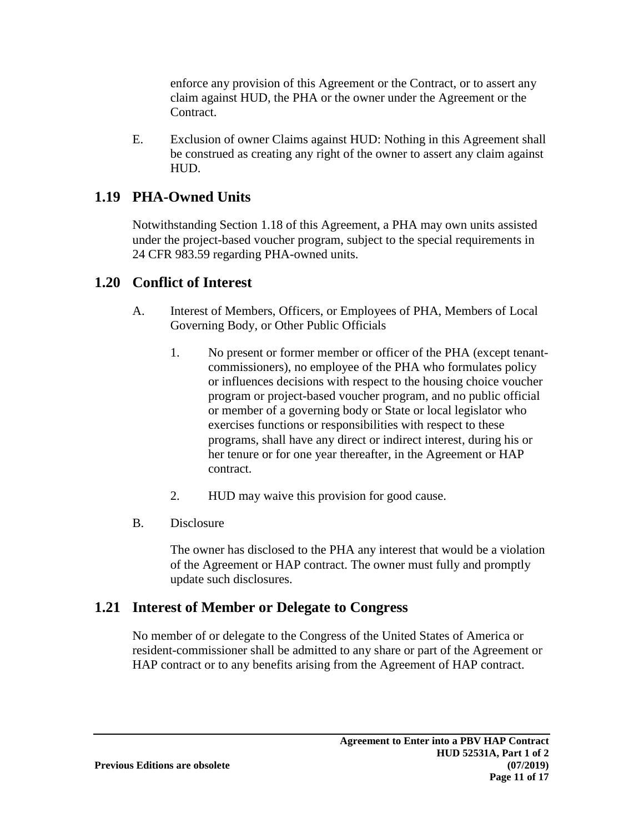enforce any provision of this Agreement or the Contract, or to assert any claim against HUD, the PHA or the owner under the Agreement or the Contract.

E. Exclusion of owner Claims against HUD: Nothing in this Agreement shall be construed as creating any right of the owner to assert any claim against HUD.

## **1.19 PHA-Owned Units**

Notwithstanding Section 1.18 of this Agreement, a PHA may own units assisted under the project-based voucher program, subject to the special requirements in 24 CFR 983.59 regarding PHA-owned units.

### **1.20 Conflict of Interest**

- A. Interest of Members, Officers, or Employees of PHA, Members of Local Governing Body, or Other Public Officials
	- 1. No present or former member or officer of the PHA (except tenantcommissioners), no employee of the PHA who formulates policy or influences decisions with respect to the housing choice voucher program or project-based voucher program, and no public official or member of a governing body or State or local legislator who exercises functions or responsibilities with respect to these programs, shall have any direct or indirect interest, during his or her tenure or for one year thereafter, in the Agreement or HAP contract.
	- 2. HUD may waive this provision for good cause.
- B. Disclosure

The owner has disclosed to the PHA any interest that would be a violation of the Agreement or HAP contract. The owner must fully and promptly update such disclosures.

### **1.21 Interest of Member or Delegate to Congress**

No member of or delegate to the Congress of the United States of America or resident-commissioner shall be admitted to any share or part of the Agreement or HAP contract or to any benefits arising from the Agreement of HAP contract.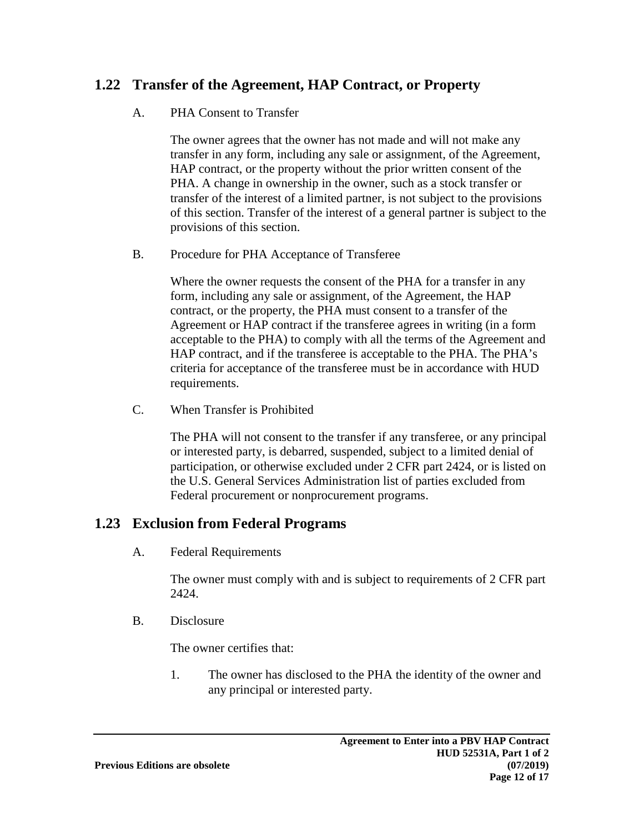### **1.22 Transfer of the Agreement, HAP Contract, or Property**

#### A. PHA Consent to Transfer

The owner agrees that the owner has not made and will not make any transfer in any form, including any sale or assignment, of the Agreement, HAP contract, or the property without the prior written consent of the PHA. A change in ownership in the owner, such as a stock transfer or transfer of the interest of a limited partner, is not subject to the provisions of this section. Transfer of the interest of a general partner is subject to the provisions of this section.

#### B. Procedure for PHA Acceptance of Transferee

Where the owner requests the consent of the PHA for a transfer in any form, including any sale or assignment, of the Agreement, the HAP contract, or the property, the PHA must consent to a transfer of the Agreement or HAP contract if the transferee agrees in writing (in a form acceptable to the PHA) to comply with all the terms of the Agreement and HAP contract, and if the transferee is acceptable to the PHA. The PHA's criteria for acceptance of the transferee must be in accordance with HUD requirements.

C. When Transfer is Prohibited

The PHA will not consent to the transfer if any transferee, or any principal or interested party, is debarred, suspended, subject to a limited denial of participation, or otherwise excluded under 2 CFR part 2424, or is listed on the U.S. General Services Administration list of parties excluded from Federal procurement or nonprocurement programs.

### **1.23 Exclusion from Federal Programs**

A. Federal Requirements

The owner must comply with and is subject to requirements of 2 CFR part 2424.

B. Disclosure

The owner certifies that:

1. The owner has disclosed to the PHA the identity of the owner and any principal or interested party.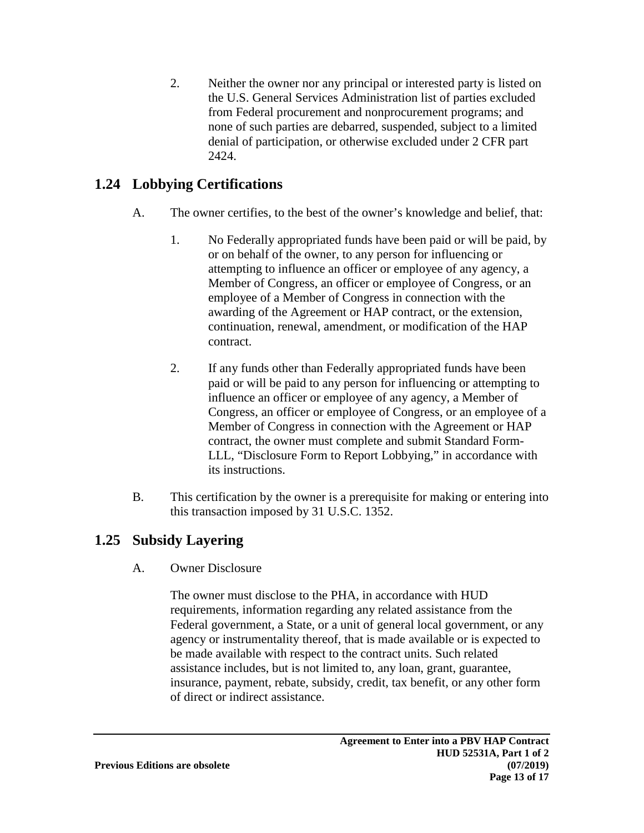2. Neither the owner nor any principal or interested party is listed on the U.S. General Services Administration list of parties excluded from Federal procurement and nonprocurement programs; and none of such parties are debarred, suspended, subject to a limited denial of participation, or otherwise excluded under 2 CFR part 2424.

## **1.24 Lobbying Certifications**

- A. The owner certifies, to the best of the owner's knowledge and belief, that:
	- 1. No Federally appropriated funds have been paid or will be paid, by or on behalf of the owner, to any person for influencing or attempting to influence an officer or employee of any agency, a Member of Congress, an officer or employee of Congress, or an employee of a Member of Congress in connection with the awarding of the Agreement or HAP contract, or the extension, continuation, renewal, amendment, or modification of the HAP contract.
	- 2. If any funds other than Federally appropriated funds have been paid or will be paid to any person for influencing or attempting to influence an officer or employee of any agency, a Member of Congress, an officer or employee of Congress, or an employee of a Member of Congress in connection with the Agreement or HAP contract, the owner must complete and submit Standard Form-LLL, "Disclosure Form to Report Lobbying," in accordance with its instructions.
- B. This certification by the owner is a prerequisite for making or entering into this transaction imposed by 31 U.S.C. 1352.

# **1.25 Subsidy Layering**

A. Owner Disclosure

The owner must disclose to the PHA, in accordance with HUD requirements, information regarding any related assistance from the Federal government, a State, or a unit of general local government, or any agency or instrumentality thereof, that is made available or is expected to be made available with respect to the contract units. Such related assistance includes, but is not limited to, any loan, grant, guarantee, insurance, payment, rebate, subsidy, credit, tax benefit, or any other form of direct or indirect assistance.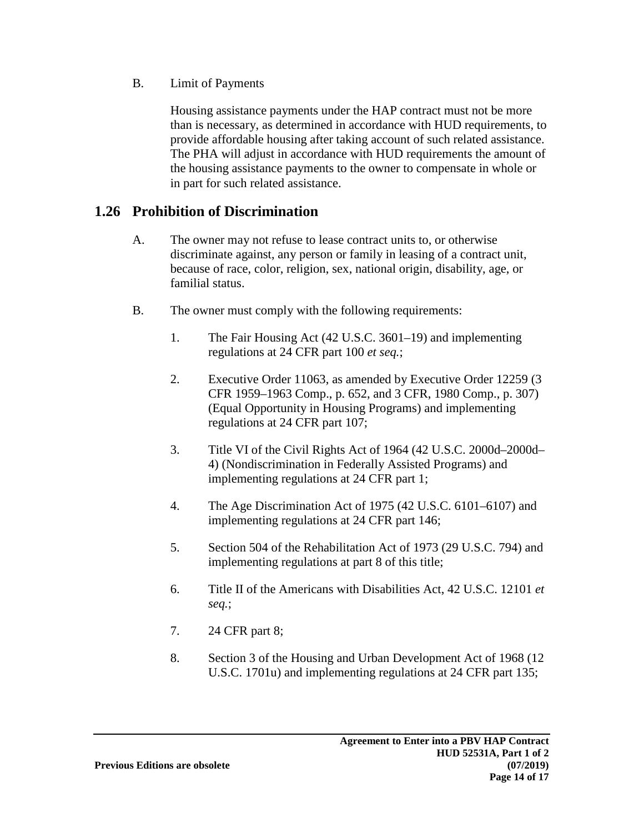B. Limit of Payments

Housing assistance payments under the HAP contract must not be more than is necessary, as determined in accordance with HUD requirements, to provide affordable housing after taking account of such related assistance. The PHA will adjust in accordance with HUD requirements the amount of the housing assistance payments to the owner to compensate in whole or in part for such related assistance.

### **1.26 Prohibition of Discrimination**

- A. The owner may not refuse to lease contract units to, or otherwise discriminate against, any person or family in leasing of a contract unit, because of race, color, religion, sex, national origin, disability, age, or familial status.
- B. The owner must comply with the following requirements:
	- 1. The Fair Housing Act (42 U.S.C. 3601–19) and implementing regulations at 24 CFR part 100 *et seq.*;
	- 2. Executive Order 11063, as amended by Executive Order 12259 (3 CFR 1959–1963 Comp., p. 652, and 3 CFR, 1980 Comp., p. 307) (Equal Opportunity in Housing Programs) and implementing regulations at 24 CFR part 107;
	- 3. Title VI of the Civil Rights Act of 1964 (42 U.S.C. 2000d–2000d– 4) (Nondiscrimination in Federally Assisted Programs) and implementing regulations at 24 CFR part 1;
	- 4. The Age Discrimination Act of 1975 (42 U.S.C. 6101–6107) and implementing regulations at 24 CFR part 146;
	- 5. Section 504 of the Rehabilitation Act of 1973 (29 U.S.C. 794) and implementing regulations at part 8 of this title;
	- 6. Title II of the Americans with Disabilities Act, 42 U.S.C. 12101 *et seq.*;
	- 7. 24 CFR part 8;
	- 8. Section 3 of the Housing and Urban Development Act of 1968 (12 U.S.C. 1701u) and implementing regulations at 24 CFR part 135;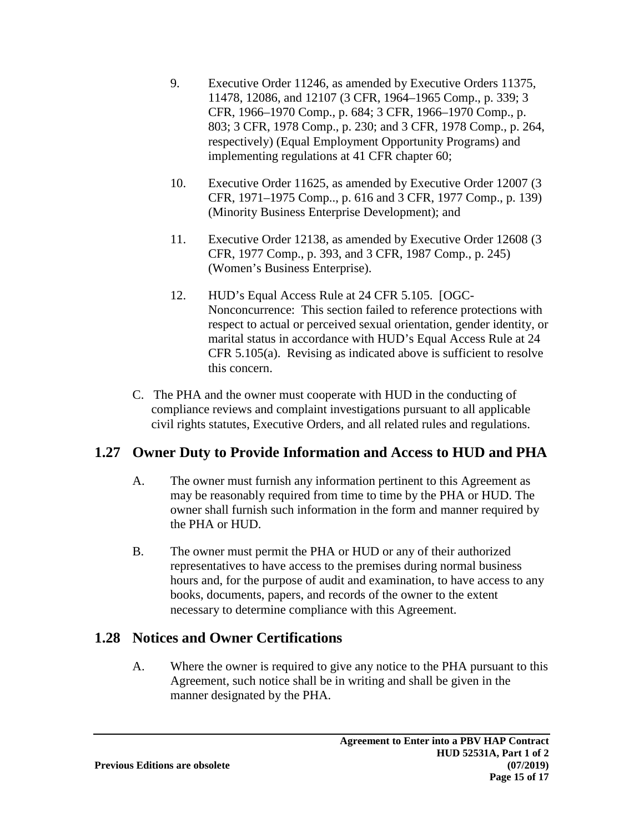- 9. Executive Order 11246, as amended by Executive Orders 11375, 11478, 12086, and 12107 (3 CFR, 1964–1965 Comp., p. 339; 3 CFR, 1966–1970 Comp., p. 684; 3 CFR, 1966–1970 Comp., p. 803; 3 CFR, 1978 Comp., p. 230; and 3 CFR, 1978 Comp., p. 264, respectively) (Equal Employment Opportunity Programs) and implementing regulations at 41 CFR chapter 60;
- 10. Executive Order 11625, as amended by Executive Order 12007 (3 CFR, 1971–1975 Comp.., p. 616 and 3 CFR, 1977 Comp., p. 139) (Minority Business Enterprise Development); and
- 11. Executive Order 12138, as amended by Executive Order 12608 (3 CFR, 1977 Comp., p. 393, and 3 CFR, 1987 Comp., p. 245) (Women's Business Enterprise).
- 12. HUD's Equal Access Rule at 24 CFR 5.105. [OGC-Nonconcurrence: This section failed to reference protections with respect to actual or perceived sexual orientation, gender identity, or marital status in accordance with HUD's Equal Access Rule at 24 CFR 5.105(a). Revising as indicated above is sufficient to resolve this concern.
- C. The PHA and the owner must cooperate with HUD in the conducting of compliance reviews and complaint investigations pursuant to all applicable civil rights statutes, Executive Orders, and all related rules and regulations.

## **1.27 Owner Duty to Provide Information and Access to HUD and PHA**

- A. The owner must furnish any information pertinent to this Agreement as may be reasonably required from time to time by the PHA or HUD. The owner shall furnish such information in the form and manner required by the PHA or HUD.
- B. The owner must permit the PHA or HUD or any of their authorized representatives to have access to the premises during normal business hours and, for the purpose of audit and examination, to have access to any books, documents, papers, and records of the owner to the extent necessary to determine compliance with this Agreement.

# **1.28 Notices and Owner Certifications**

A. Where the owner is required to give any notice to the PHA pursuant to this Agreement, such notice shall be in writing and shall be given in the manner designated by the PHA.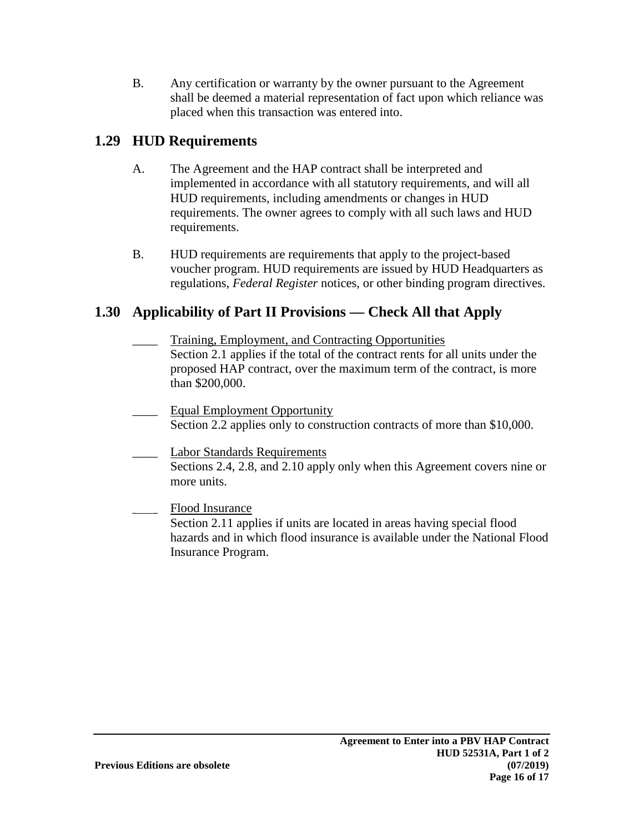B. Any certification or warranty by the owner pursuant to the Agreement shall be deemed a material representation of fact upon which reliance was placed when this transaction was entered into.

# **1.29 HUD Requirements**

- A. The Agreement and the HAP contract shall be interpreted and implemented in accordance with all statutory requirements, and will all HUD requirements, including amendments or changes in HUD requirements. The owner agrees to comply with all such laws and HUD requirements.
- B. HUD requirements are requirements that apply to the project-based voucher program. HUD requirements are issued by HUD Headquarters as regulations, *Federal Register* notices, or other binding program directives.

# **1.30 Applicability of Part II Provisions — Check All that Apply**

- Training, Employment, and Contracting Opportunities Section 2.1 applies if the total of the contract rents for all units under the proposed HAP contract, over the maximum term of the contract, is more than \$200,000.
- Equal Employment Opportunity Section 2.2 applies only to construction contracts of more than \$10,000.
- Labor Standards Requirements Sections 2.4, 2.8, and 2.10 apply only when this Agreement covers nine or more units.
- \_\_\_\_ Flood Insurance Section 2.11 applies if units are located in areas having special flood hazards and in which flood insurance is available under the National Flood Insurance Program.